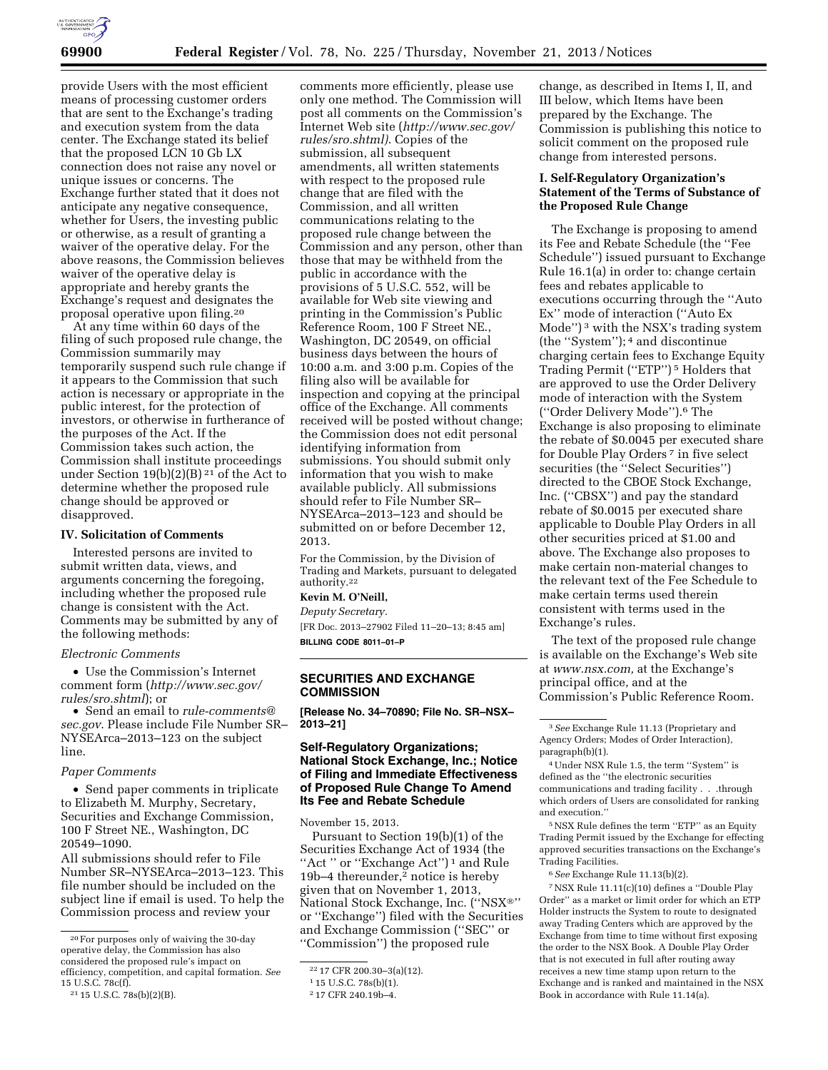

provide Users with the most efficient means of processing customer orders that are sent to the Exchange's trading and execution system from the data center. The Exchange stated its belief that the proposed LCN 10 Gb LX connection does not raise any novel or unique issues or concerns. The Exchange further stated that it does not anticipate any negative consequence, whether for Users, the investing public or otherwise, as a result of granting a waiver of the operative delay. For the above reasons, the Commission believes waiver of the operative delay is appropriate and hereby grants the Exchange's request and designates the proposal operative upon filing.20

At any time within 60 days of the filing of such proposed rule change, the Commission summarily may temporarily suspend such rule change if it appears to the Commission that such action is necessary or appropriate in the public interest, for the protection of investors, or otherwise in furtherance of the purposes of the Act. If the Commission takes such action, the Commission shall institute proceedings under Section 19(b)(2)(B)<sup>21</sup> of the Act to determine whether the proposed rule change should be approved or disapproved.

#### **IV. Solicitation of Comments**

Interested persons are invited to submit written data, views, and arguments concerning the foregoing, including whether the proposed rule change is consistent with the Act. Comments may be submitted by any of the following methods:

#### *Electronic Comments*

• Use the Commission's Internet comment form (*[http://www.sec.gov/](http://www.sec.gov/rules/sro.shtml) [rules/sro.shtml](http://www.sec.gov/rules/sro.shtml)*); or

• Send an email to *[rule-comments@](mailto:rule-comments@sec.gov) [sec.gov](mailto:rule-comments@sec.gov)*. Please include File Number SR– NYSEArca–2013–123 on the subject line.

## *Paper Comments*

• Send paper comments in triplicate to Elizabeth M. Murphy, Secretary, Securities and Exchange Commission, 100 F Street NE., Washington, DC 20549–1090.

All submissions should refer to File Number SR–NYSEArca–2013–123. This file number should be included on the subject line if email is used. To help the Commission process and review your

comments more efficiently, please use only one method. The Commission will post all comments on the Commission's Internet Web site (*[http://www.sec.gov/](http://www.sec.gov/rules/sro.shtml) [rules/sro.shtml\)](http://www.sec.gov/rules/sro.shtml)*. Copies of the submission, all subsequent amendments, all written statements with respect to the proposed rule change that are filed with the Commission, and all written communications relating to the proposed rule change between the Commission and any person, other than those that may be withheld from the public in accordance with the provisions of 5 U.S.C. 552, will be available for Web site viewing and printing in the Commission's Public Reference Room, 100 F Street NE., Washington, DC 20549, on official business days between the hours of 10:00 a.m. and 3:00 p.m. Copies of the filing also will be available for inspection and copying at the principal office of the Exchange. All comments received will be posted without change; the Commission does not edit personal identifying information from submissions. You should submit only information that you wish to make available publicly. All submissions should refer to File Number SR– NYSEArca–2013–123 and should be submitted on or before December 12, 2013.

For the Commission, by the Division of Trading and Markets, pursuant to delegated authority.22

#### **Kevin M. O'Neill,**

*Deputy Secretary.* 

[FR Doc. 2013–27902 Filed 11–20–13; 8:45 am] **BILLING CODE 8011–01–P** 

## **SECURITIES AND EXCHANGE COMMISSION**

**[Release No. 34–70890; File No. SR–NSX– 2013–21]** 

## **Self-Regulatory Organizations; National Stock Exchange, Inc.; Notice of Filing and Immediate Effectiveness of Proposed Rule Change To Amend Its Fee and Rebate Schedule**

November 15, 2013.

Pursuant to Section 19(b)(1) of the Securities Exchange Act of 1934 (the ''Act '' or ''Exchange Act'') 1 and Rule 19b–4 thereunder,2 notice is hereby given that on November 1, 2013, National Stock Exchange, Inc. (''NSX®'' or ''Exchange'') filed with the Securities and Exchange Commission (''SEC'' or ''Commission'') the proposed rule

change, as described in Items I, II, and III below, which Items have been prepared by the Exchange. The Commission is publishing this notice to solicit comment on the proposed rule change from interested persons.

## **I. Self-Regulatory Organization's Statement of the Terms of Substance of the Proposed Rule Change**

The Exchange is proposing to amend its Fee and Rebate Schedule (the ''Fee Schedule'') issued pursuant to Exchange Rule 16.1(a) in order to: change certain fees and rebates applicable to executions occurring through the ''Auto Ex'' mode of interaction (''Auto Ex Mode'') 3 with the NSX's trading system (the ''System''); 4 and discontinue charging certain fees to Exchange Equity Trading Permit (''ETP'') 5 Holders that are approved to use the Order Delivery mode of interaction with the System (''Order Delivery Mode'').6 The Exchange is also proposing to eliminate the rebate of \$0.0045 per executed share for Double Play Orders 7 in five select securities (the ''Select Securities'') directed to the CBOE Stock Exchange, Inc. (''CBSX'') and pay the standard rebate of \$0.0015 per executed share applicable to Double Play Orders in all other securities priced at \$1.00 and above. The Exchange also proposes to make certain non-material changes to the relevant text of the Fee Schedule to make certain terms used therein consistent with terms used in the Exchange's rules.

The text of the proposed rule change is available on the Exchange's Web site at *[www.nsx.com,](http://www.nsx.com)* at the Exchange's principal office, and at the Commission's Public Reference Room.

5NSX Rule defines the term ''ETP'' as an Equity Trading Permit issued by the Exchange for effecting approved securities transactions on the Exchange's Trading Facilities.

7NSX Rule 11.11(c)(10) defines a ''Double Play Order'' as a market or limit order for which an ETP Holder instructs the System to route to designated away Trading Centers which are approved by the Exchange from time to time without first exposing the order to the NSX Book. A Double Play Order that is not executed in full after routing away receives a new time stamp upon return to the Exchange and is ranked and maintained in the NSX Book in accordance with Rule 11.14(a).

<sup>20</sup>For purposes only of waiving the 30-day operative delay, the Commission has also considered the proposed rule's impact on efficiency, competition, and capital formation. *See*  15 U.S.C. 78c(f).

<sup>21</sup> 15 U.S.C. 78s(b)(2)(B).

<sup>22</sup> 17 CFR 200.30–3(a)(12).

<sup>1</sup> 15 U.S.C. 78s(b)(1).

<sup>2</sup> 17 CFR 240.19b–4.

<sup>3</sup>*See* Exchange Rule 11.13 (Proprietary and Agency Orders; Modes of Order Interaction), paragraph(b)(1).

<sup>4</sup>Under NSX Rule 1.5, the term ''System'' is defined as the ''the electronic securities communications and trading facility . . .through which orders of Users are consolidated for ranking and execution.''

<sup>6</sup>*See* Exchange Rule 11.13(b)(2).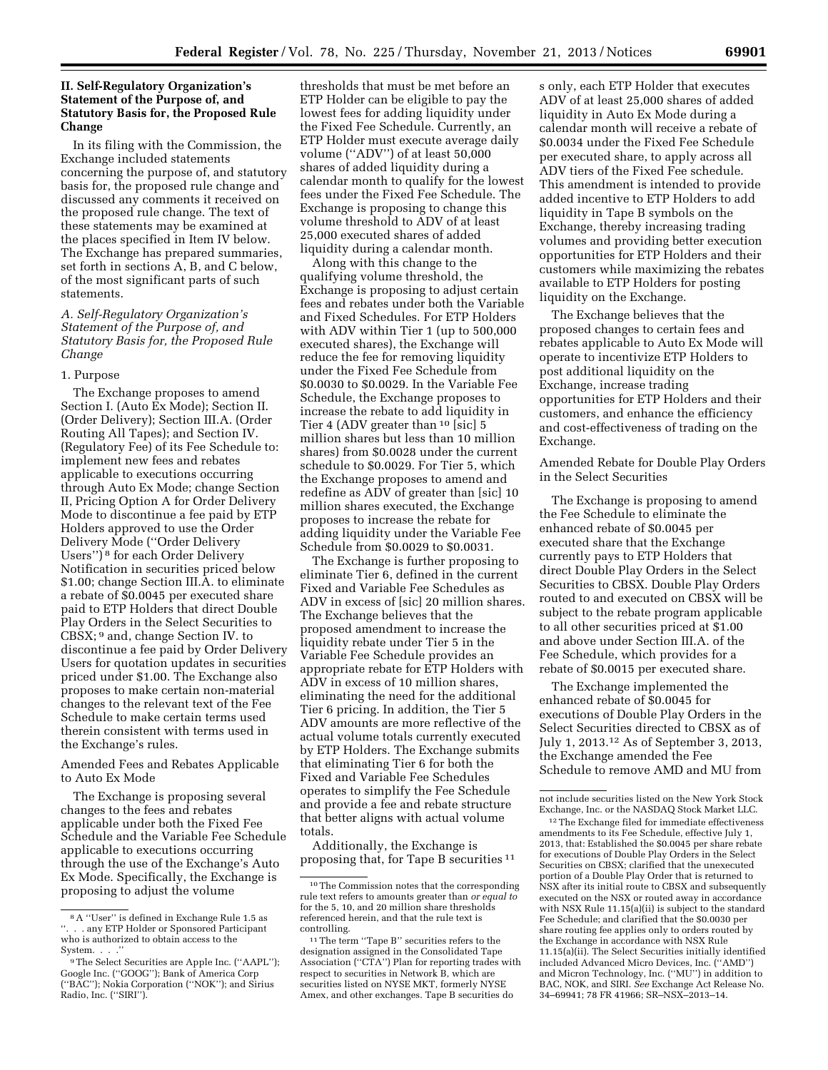# **II. Self-Regulatory Organization's Statement of the Purpose of, and Statutory Basis for, the Proposed Rule Change**

In its filing with the Commission, the Exchange included statements concerning the purpose of, and statutory basis for, the proposed rule change and discussed any comments it received on the proposed rule change. The text of these statements may be examined at the places specified in Item IV below. The Exchange has prepared summaries, set forth in sections A, B, and C below, of the most significant parts of such statements.

## *A. Self-Regulatory Organization's Statement of the Purpose of, and Statutory Basis for, the Proposed Rule Change*

#### 1. Purpose

The Exchange proposes to amend Section I. (Auto Ex Mode); Section II. (Order Delivery); Section III.A. (Order Routing All Tapes); and Section IV. (Regulatory Fee) of its Fee Schedule to: implement new fees and rebates applicable to executions occurring through Auto Ex Mode; change Section II, Pricing Option A for Order Delivery Mode to discontinue a fee paid by ETP Holders approved to use the Order Delivery Mode (''Order Delivery Users'') 8 for each Order Delivery Notification in securities priced below \$1.00; change Section III.A. to eliminate a rebate of \$0.0045 per executed share paid to ETP Holders that direct Double Play Orders in the Select Securities to CBSX; 9 and, change Section IV. to discontinue a fee paid by Order Delivery Users for quotation updates in securities priced under \$1.00. The Exchange also proposes to make certain non-material changes to the relevant text of the Fee Schedule to make certain terms used therein consistent with terms used in the Exchange's rules.

Amended Fees and Rebates Applicable to Auto Ex Mode

The Exchange is proposing several changes to the fees and rebates applicable under both the Fixed Fee Schedule and the Variable Fee Schedule applicable to executions occurring through the use of the Exchange's Auto Ex Mode. Specifically, the Exchange is proposing to adjust the volume

thresholds that must be met before an ETP Holder can be eligible to pay the lowest fees for adding liquidity under the Fixed Fee Schedule. Currently, an ETP Holder must execute average daily volume (''ADV'') of at least 50,000 shares of added liquidity during a calendar month to qualify for the lowest fees under the Fixed Fee Schedule. The Exchange is proposing to change this volume threshold to ADV of at least 25,000 executed shares of added liquidity during a calendar month.

Along with this change to the qualifying volume threshold, the Exchange is proposing to adjust certain fees and rebates under both the Variable and Fixed Schedules. For ETP Holders with ADV within Tier 1 (up to 500,000 executed shares), the Exchange will reduce the fee for removing liquidity under the Fixed Fee Schedule from \$0.0030 to \$0.0029. In the Variable Fee Schedule, the Exchange proposes to increase the rebate to add liquidity in Tier 4 (ADV greater than 10 [sic] 5 million shares but less than 10 million shares) from \$0.0028 under the current schedule to \$0.0029. For Tier 5, which the Exchange proposes to amend and redefine as ADV of greater than [sic] 10 million shares executed, the Exchange proposes to increase the rebate for adding liquidity under the Variable Fee Schedule from \$0.0029 to \$0.0031.

The Exchange is further proposing to eliminate Tier 6, defined in the current Fixed and Variable Fee Schedules as ADV in excess of [sic] 20 million shares. The Exchange believes that the proposed amendment to increase the liquidity rebate under Tier 5 in the Variable Fee Schedule provides an appropriate rebate for ETP Holders with ADV in excess of 10 million shares, eliminating the need for the additional Tier 6 pricing. In addition, the Tier 5 ADV amounts are more reflective of the actual volume totals currently executed by ETP Holders. The Exchange submits that eliminating Tier 6 for both the Fixed and Variable Fee Schedules operates to simplify the Fee Schedule and provide a fee and rebate structure that better aligns with actual volume totals.

Additionally, the Exchange is proposing that, for Tape B securities 11 s only, each ETP Holder that executes ADV of at least 25,000 shares of added liquidity in Auto Ex Mode during a calendar month will receive a rebate of \$0.0034 under the Fixed Fee Schedule per executed share, to apply across all ADV tiers of the Fixed Fee schedule. This amendment is intended to provide added incentive to ETP Holders to add liquidity in Tape B symbols on the Exchange, thereby increasing trading volumes and providing better execution opportunities for ETP Holders and their customers while maximizing the rebates available to ETP Holders for posting liquidity on the Exchange.

The Exchange believes that the proposed changes to certain fees and rebates applicable to Auto Ex Mode will operate to incentivize ETP Holders to post additional liquidity on the Exchange, increase trading opportunities for ETP Holders and their customers, and enhance the efficiency and cost-effectiveness of trading on the Exchange.

Amended Rebate for Double Play Orders in the Select Securities

The Exchange is proposing to amend the Fee Schedule to eliminate the enhanced rebate of \$0.0045 per executed share that the Exchange currently pays to ETP Holders that direct Double Play Orders in the Select Securities to CBSX. Double Play Orders routed to and executed on CBSX will be subject to the rebate program applicable to all other securities priced at \$1.00 and above under Section III.A. of the Fee Schedule, which provides for a rebate of \$0.0015 per executed share.

The Exchange implemented the enhanced rebate of \$0.0045 for executions of Double Play Orders in the Select Securities directed to CBSX as of July 1, 2013.12 As of September 3, 2013, the Exchange amended the Fee Schedule to remove AMD and MU from

<sup>8</sup>A ''User'' is defined in Exchange Rule 1.5 as ''. . . any ETP Holder or Sponsored Participant who is authorized to obtain access to the System. . . .

<sup>9</sup>The Select Securities are Apple Inc. (''AAPL''); Google Inc. (''GOOG''); Bank of America Corp (''BAC''); Nokia Corporation (''NOK''); and Sirius Radio, Inc. (''SIRI'').

<sup>10</sup>The Commission notes that the corresponding rule text refers to amounts greater than *or equal to*  for the 5, 10, and 20 million share thresholds referenced herein, and that the rule text is controlling.

<sup>11</sup>The term ''Tape B'' securities refers to the designation assigned in the Consolidated Tape Association (''CTA'') Plan for reporting trades with respect to securities in Network B, which are securities listed on NYSE MKT, formerly NYSE Amex, and other exchanges. Tape B securities do

not include securities listed on the New York Stock Exchange, Inc. or the NASDAQ Stock Market LLC.

<sup>12</sup>The Exchange filed for immediate effectiveness amendments to its Fee Schedule, effective July 1, 2013, that: Established the \$0.0045 per share rebate for executions of Double Play Orders in the Select Securities on CBSX; clarified that the unexecuted portion of a Double Play Order that is returned to NSX after its initial route to CBSX and subsequently executed on the NSX or routed away in accordance with NSX Rule 11.15(a)(ii) is subject to the standard Fee Schedule; and clarified that the \$0.0030 per share routing fee applies only to orders routed by the Exchange in accordance with NSX Rule 11.15(a)(ii). The Select Securities initially identified included Advanced Micro Devices, Inc. (''AMD'') and Micron Technology, Inc. (''MU'') in addition to BAC, NOK, and SIRI. *See* Exchange Act Release No. 34–69941; 78 FR 41966; SR–NSX–2013–14.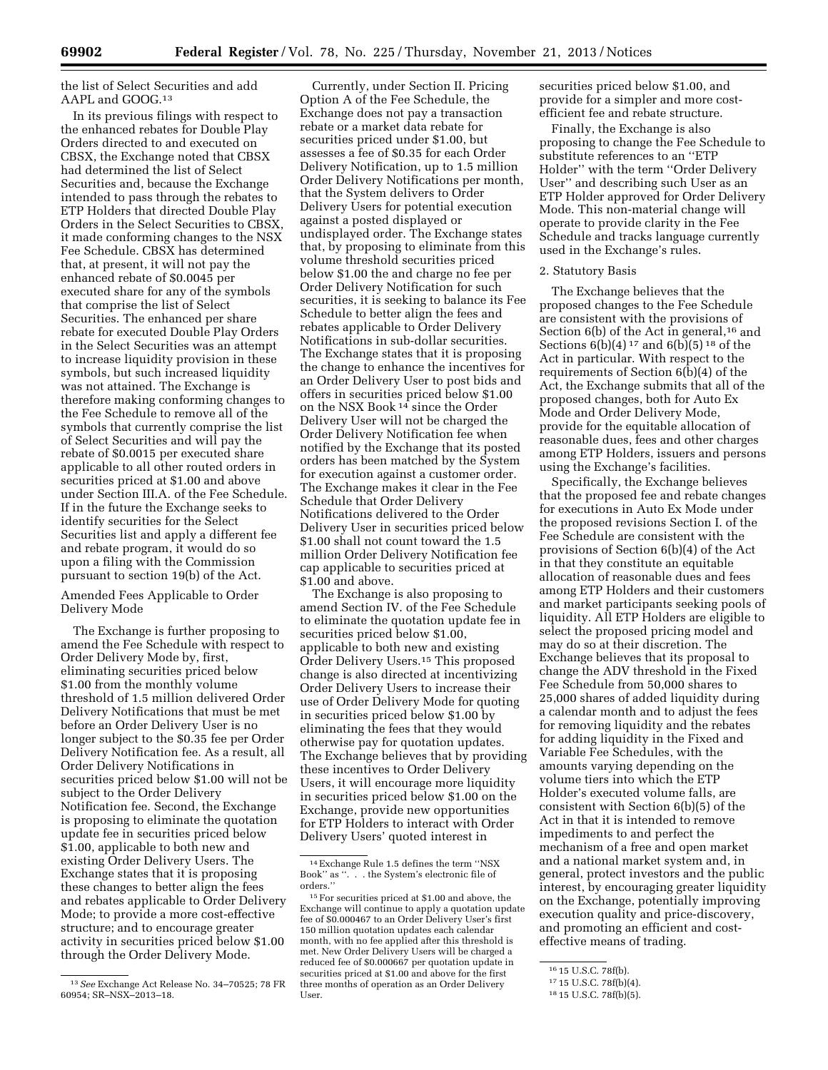## the list of Select Securities and add AAPL and GOOG.13

In its previous filings with respect to the enhanced rebates for Double Play Orders directed to and executed on CBSX, the Exchange noted that CBSX had determined the list of Select Securities and, because the Exchange intended to pass through the rebates to ETP Holders that directed Double Play Orders in the Select Securities to CBSX, it made conforming changes to the NSX Fee Schedule. CBSX has determined that, at present, it will not pay the enhanced rebate of \$0.0045 per executed share for any of the symbols that comprise the list of Select Securities. The enhanced per share rebate for executed Double Play Orders in the Select Securities was an attempt to increase liquidity provision in these symbols, but such increased liquidity was not attained. The Exchange is therefore making conforming changes to the Fee Schedule to remove all of the symbols that currently comprise the list of Select Securities and will pay the rebate of \$0.0015 per executed share applicable to all other routed orders in securities priced at \$1.00 and above under Section III.A. of the Fee Schedule. If in the future the Exchange seeks to identify securities for the Select Securities list and apply a different fee and rebate program, it would do so upon a filing with the Commission pursuant to section 19(b) of the Act.

Amended Fees Applicable to Order Delivery Mode

The Exchange is further proposing to amend the Fee Schedule with respect to Order Delivery Mode by, first, eliminating securities priced below \$1.00 from the monthly volume threshold of 1.5 million delivered Order Delivery Notifications that must be met before an Order Delivery User is no longer subject to the \$0.35 fee per Order Delivery Notification fee. As a result, all Order Delivery Notifications in securities priced below \$1.00 will not be subject to the Order Delivery Notification fee. Second, the Exchange is proposing to eliminate the quotation update fee in securities priced below \$1.00, applicable to both new and existing Order Delivery Users. The Exchange states that it is proposing these changes to better align the fees and rebates applicable to Order Delivery Mode; to provide a more cost-effective structure; and to encourage greater activity in securities priced below \$1.00 through the Order Delivery Mode.

Currently, under Section II. Pricing Option A of the Fee Schedule, the Exchange does not pay a transaction rebate or a market data rebate for securities priced under \$1.00, but assesses a fee of \$0.35 for each Order Delivery Notification, up to 1.5 million Order Delivery Notifications per month, that the System delivers to Order Delivery Users for potential execution against a posted displayed or undisplayed order. The Exchange states that, by proposing to eliminate from this volume threshold securities priced below \$1.00 the and charge no fee per Order Delivery Notification for such securities, it is seeking to balance its Fee Schedule to better align the fees and rebates applicable to Order Delivery Notifications in sub-dollar securities. The Exchange states that it is proposing the change to enhance the incentives for an Order Delivery User to post bids and offers in securities priced below \$1.00 on the NSX Book 14 since the Order Delivery User will not be charged the Order Delivery Notification fee when notified by the Exchange that its posted orders has been matched by the System for execution against a customer order. The Exchange makes it clear in the Fee Schedule that Order Delivery Notifications delivered to the Order Delivery User in securities priced below \$1.00 shall not count toward the 1.5 million Order Delivery Notification fee cap applicable to securities priced at \$1.00 and above.

The Exchange is also proposing to amend Section IV. of the Fee Schedule to eliminate the quotation update fee in securities priced below \$1.00, applicable to both new and existing Order Delivery Users.15 This proposed change is also directed at incentivizing Order Delivery Users to increase their use of Order Delivery Mode for quoting in securities priced below \$1.00 by eliminating the fees that they would otherwise pay for quotation updates. The Exchange believes that by providing these incentives to Order Delivery Users, it will encourage more liquidity in securities priced below \$1.00 on the Exchange, provide new opportunities for ETP Holders to interact with Order Delivery Users' quoted interest in

securities priced below \$1.00, and provide for a simpler and more costefficient fee and rebate structure.

Finally, the Exchange is also proposing to change the Fee Schedule to substitute references to an ''ETP Holder'' with the term ''Order Delivery User'' and describing such User as an ETP Holder approved for Order Delivery Mode. This non-material change will operate to provide clarity in the Fee Schedule and tracks language currently used in the Exchange's rules.

### 2. Statutory Basis

The Exchange believes that the proposed changes to the Fee Schedule are consistent with the provisions of Section  $6(b)$  of the Act in general,<sup>16</sup> and Sections  $6(b)(4)^{17}$  and  $6(b)(5)^{18}$  of the Act in particular. With respect to the requirements of Section 6(b)(4) of the Act, the Exchange submits that all of the proposed changes, both for Auto Ex Mode and Order Delivery Mode, provide for the equitable allocation of reasonable dues, fees and other charges among ETP Holders, issuers and persons using the Exchange's facilities.

Specifically, the Exchange believes that the proposed fee and rebate changes for executions in Auto Ex Mode under the proposed revisions Section I. of the Fee Schedule are consistent with the provisions of Section 6(b)(4) of the Act in that they constitute an equitable allocation of reasonable dues and fees among ETP Holders and their customers and market participants seeking pools of liquidity. All ETP Holders are eligible to select the proposed pricing model and may do so at their discretion. The Exchange believes that its proposal to change the ADV threshold in the Fixed Fee Schedule from 50,000 shares to 25,000 shares of added liquidity during a calendar month and to adjust the fees for removing liquidity and the rebates for adding liquidity in the Fixed and Variable Fee Schedules, with the amounts varying depending on the volume tiers into which the ETP Holder's executed volume falls, are consistent with Section 6(b)(5) of the Act in that it is intended to remove impediments to and perfect the mechanism of a free and open market and a national market system and, in general, protect investors and the public interest, by encouraging greater liquidity on the Exchange, potentially improving execution quality and price-discovery, and promoting an efficient and costeffective means of trading.

<sup>13</sup>*See* Exchange Act Release No. 34–70525; 78 FR 60954; SR–NSX–2013–18.

<sup>14</sup>Exchange Rule 1.5 defines the term ''NSX Book'' as ''. . . the System's electronic file of orders.''

<sup>15</sup>For securities priced at \$1.00 and above, the Exchange will continue to apply a quotation update fee of \$0.000467 to an Order Delivery User's first 150 million quotation updates each calendar month, with no fee applied after this threshold is met. New Order Delivery Users will be charged a reduced fee of \$0.000667 per quotation update in securities priced at \$1.00 and above for the first three months of operation as an Order Delivery User.

<sup>16</sup> 15 U.S.C. 78f(b).

<sup>17</sup> 15 U.S.C. 78f(b)(4).

<sup>18</sup> 15 U.S.C. 78f(b)(5).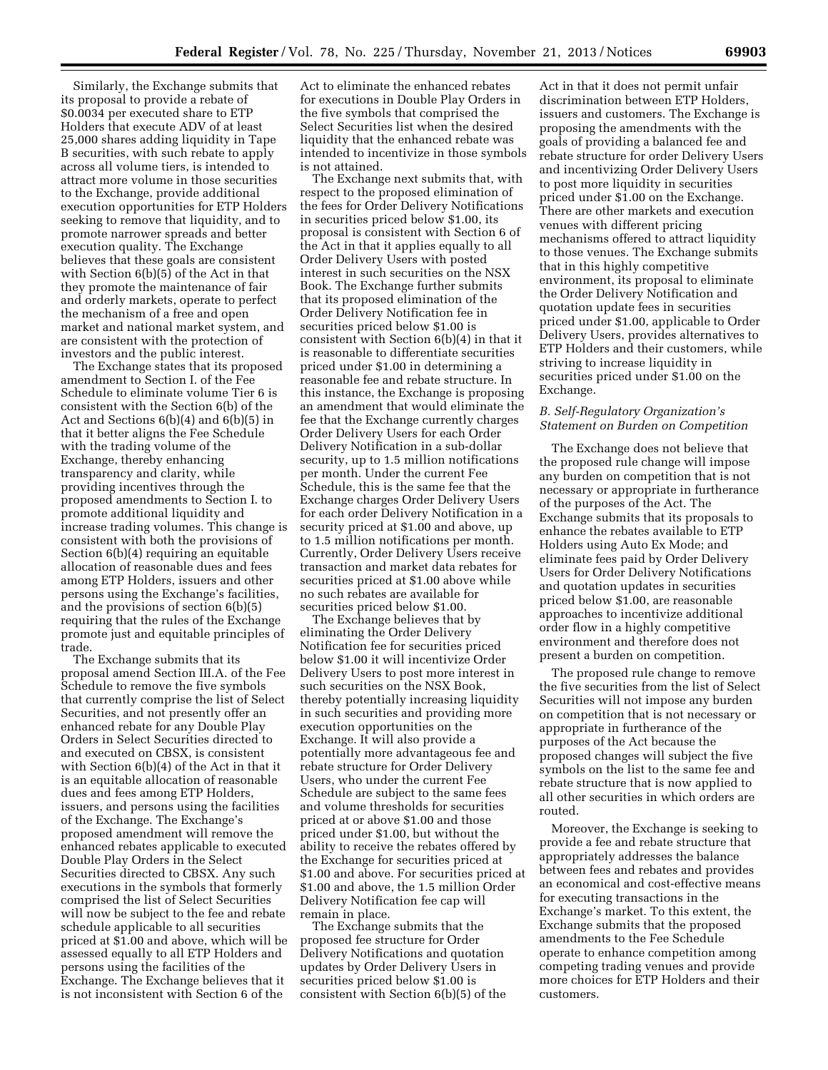Similarly, the Exchange submits that its proposal to provide a rebate of \$0.0034 per executed share to ETP Holders that execute ADV of at least 25,000 shares adding liquidity in Tape B securities, with such rebate to apply across all volume tiers, is intended to attract more volume in those securities to the Exchange, provide additional execution opportunities for ETP Holders seeking to remove that liquidity, and to promote narrower spreads and better execution quality. The Exchange believes that these goals are consistent with Section 6(b)(5) of the Act in that they promote the maintenance of fair and orderly markets, operate to perfect the mechanism of a free and open market and national market system, and are consistent with the protection of investors and the public interest.

The Exchange states that its proposed amendment to Section I. of the Fee Schedule to eliminate volume Tier 6 is consistent with the Section 6(b) of the Act and Sections 6(b)(4) and 6(b)(5) in that it better aligns the Fee Schedule with the trading volume of the Exchange, thereby enhancing transparency and clarity, while providing incentives through the proposed amendments to Section I. to promote additional liquidity and increase trading volumes. This change is consistent with both the provisions of Section 6(b)(4) requiring an equitable allocation of reasonable dues and fees among ETP Holders, issuers and other persons using the Exchange's facilities, and the provisions of section 6(b)(5) requiring that the rules of the Exchange promote just and equitable principles of trade.

The Exchange submits that its proposal amend Section III.A. of the Fee Schedule to remove the five symbols that currently comprise the list of Select Securities, and not presently offer an enhanced rebate for any Double Play Orders in Select Securities directed to and executed on CBSX, is consistent with Section 6(b)(4) of the Act in that it is an equitable allocation of reasonable dues and fees among ETP Holders, issuers, and persons using the facilities of the Exchange. The Exchange's proposed amendment will remove the enhanced rebates applicable to executed Double Play Orders in the Select Securities directed to CBSX. Any such executions in the symbols that formerly comprised the list of Select Securities will now be subject to the fee and rebate schedule applicable to all securities priced at \$1.00 and above, which will be assessed equally to all ETP Holders and persons using the facilities of the Exchange. The Exchange believes that it is not inconsistent with Section 6 of the

Act to eliminate the enhanced rebates for executions in Double Play Orders in the five symbols that comprised the Select Securities list when the desired liquidity that the enhanced rebate was intended to incentivize in those symbols is not attained.

The Exchange next submits that, with respect to the proposed elimination of the fees for Order Delivery Notifications in securities priced below \$1.00, its proposal is consistent with Section 6 of the Act in that it applies equally to all Order Delivery Users with posted interest in such securities on the NSX Book. The Exchange further submits that its proposed elimination of the Order Delivery Notification fee in securities priced below \$1.00 is consistent with Section 6(b)(4) in that it is reasonable to differentiate securities priced under \$1.00 in determining a reasonable fee and rebate structure. In this instance, the Exchange is proposing an amendment that would eliminate the fee that the Exchange currently charges Order Delivery Users for each Order Delivery Notification in a sub-dollar security, up to 1.5 million notifications per month. Under the current Fee Schedule, this is the same fee that the Exchange charges Order Delivery Users for each order Delivery Notification in a security priced at \$1.00 and above, up to 1.5 million notifications per month. Currently, Order Delivery Users receive transaction and market data rebates for securities priced at \$1.00 above while no such rebates are available for securities priced below \$1.00.

The Exchange believes that by eliminating the Order Delivery Notification fee for securities priced below \$1.00 it will incentivize Order Delivery Users to post more interest in such securities on the NSX Book, thereby potentially increasing liquidity in such securities and providing more execution opportunities on the Exchange. It will also provide a potentially more advantageous fee and rebate structure for Order Delivery Users, who under the current Fee Schedule are subject to the same fees and volume thresholds for securities priced at or above \$1.00 and those priced under \$1.00, but without the ability to receive the rebates offered by the Exchange for securities priced at \$1.00 and above. For securities priced at \$1.00 and above, the 1.5 million Order Delivery Notification fee cap will remain in place.

The Exchange submits that the proposed fee structure for Order Delivery Notifications and quotation updates by Order Delivery Users in securities priced below \$1.00 is consistent with Section 6(b)(5) of the

Act in that it does not permit unfair discrimination between ETP Holders, issuers and customers. The Exchange is proposing the amendments with the goals of providing a balanced fee and rebate structure for order Delivery Users and incentivizing Order Delivery Users to post more liquidity in securities priced under \$1.00 on the Exchange. There are other markets and execution venues with different pricing mechanisms offered to attract liquidity to those venues. The Exchange submits that in this highly competitive environment, its proposal to eliminate the Order Delivery Notification and quotation update fees in securities priced under \$1.00, applicable to Order Delivery Users, provides alternatives to ETP Holders and their customers, while striving to increase liquidity in securities priced under \$1.00 on the Exchange.

### *B. Self-Regulatory Organization's Statement on Burden on Competition*

The Exchange does not believe that the proposed rule change will impose any burden on competition that is not necessary or appropriate in furtherance of the purposes of the Act. The Exchange submits that its proposals to enhance the rebates available to ETP Holders using Auto Ex Mode; and eliminate fees paid by Order Delivery Users for Order Delivery Notifications and quotation updates in securities priced below \$1.00, are reasonable approaches to incentivize additional order flow in a highly competitive environment and therefore does not present a burden on competition.

The proposed rule change to remove the five securities from the list of Select Securities will not impose any burden on competition that is not necessary or appropriate in furtherance of the purposes of the Act because the proposed changes will subject the five symbols on the list to the same fee and rebate structure that is now applied to all other securities in which orders are routed.

Moreover, the Exchange is seeking to provide a fee and rebate structure that appropriately addresses the balance between fees and rebates and provides an economical and cost-effective means for executing transactions in the Exchange's market. To this extent, the Exchange submits that the proposed amendments to the Fee Schedule operate to enhance competition among competing trading venues and provide more choices for ETP Holders and their customers.